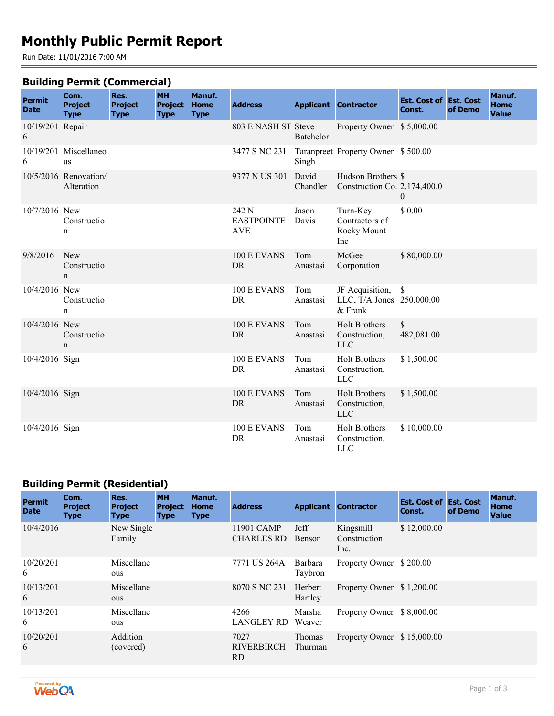# **Monthly Public Permit Report**

Run Date: 11/01/2016 7:00 AM

#### **Building Permit (Commercial)**

| <b>Permit</b><br><b>Date</b> | Com.<br><b>Project</b><br><b>Type</b> | Res.<br><b>Project</b><br><b>Type</b> | <b>MH</b><br><b>Project</b><br><b>Type</b> | Manuf.<br><b>Home</b><br><b>Type</b> | <b>Address</b>                           |                   | <b>Applicant Contractor</b>                                | <b>Est. Cost of Est. Cost</b><br>Const. | of Demo | Manuf.<br><b>Home</b><br><b>Value</b> |
|------------------------------|---------------------------------------|---------------------------------------|--------------------------------------------|--------------------------------------|------------------------------------------|-------------------|------------------------------------------------------------|-----------------------------------------|---------|---------------------------------------|
| 10/19/201 Repair<br>6        |                                       |                                       |                                            |                                      | 803 E NASH ST Steve                      | <b>Batchelor</b>  | Property Owner \$5,000.00                                  |                                         |         |                                       |
| 6                            | 10/19/201 Miscellaneo<br><b>us</b>    |                                       |                                            |                                      | 3477 S NC 231                            | Singh             | Taranpreet Property Owner \$500.00                         |                                         |         |                                       |
|                              | 10/5/2016 Renovation/<br>Alteration   |                                       |                                            |                                      | 9377 N US 301                            | David<br>Chandler | Hudson Brothers \$<br>Construction Co. 2,174,400.0         | $\theta$                                |         |                                       |
| 10/7/2016 New                | Constructio<br>n                      |                                       |                                            |                                      | 242 N<br><b>EASTPOINTE</b><br><b>AVE</b> | Jason<br>Davis    | Turn-Key<br>Contractors of<br>Rocky Mount<br>Inc           | \$0.00                                  |         |                                       |
| 9/8/2016                     | New<br>Constructio<br>n               |                                       |                                            |                                      | 100 E EVANS<br><b>DR</b>                 | Tom<br>Anastasi   | McGee<br>Corporation                                       | \$80,000.00                             |         |                                       |
| 10/4/2016 New                | Constructio<br>n                      |                                       |                                            |                                      | 100 E EVANS<br>DR                        | Tom<br>Anastasi   | JF Acquisition, \$<br>LLC, T/A Jones 250,000.00<br>& Frank |                                         |         |                                       |
| 10/4/2016 New                | Constructio<br>n                      |                                       |                                            |                                      | 100 E EVANS<br><b>DR</b>                 | Tom<br>Anastasi   | <b>Holt Brothers</b><br>Construction,<br><b>LLC</b>        | \$<br>482,081.00                        |         |                                       |
| 10/4/2016 Sign               |                                       |                                       |                                            |                                      | 100 E EVANS<br>DR                        | Tom<br>Anastasi   | <b>Holt Brothers</b><br>Construction,<br><b>LLC</b>        | \$1,500.00                              |         |                                       |
| 10/4/2016 Sign               |                                       |                                       |                                            |                                      | 100 E EVANS<br><b>DR</b>                 | Tom<br>Anastasi   | <b>Holt Brothers</b><br>Construction,<br><b>LLC</b>        | \$1,500.00                              |         |                                       |
| 10/4/2016 Sign               |                                       |                                       |                                            |                                      | 100 E EVANS<br>DR                        | Tom<br>Anastasi   | <b>Holt Brothers</b><br>Construction,<br><b>LLC</b>        | \$10,000.00                             |         |                                       |

## **Building Permit (Residential)**

| <b>Permit</b><br><b>Date</b> | Com.<br><b>Project</b><br><b>Type</b> | Res.<br><b>Project</b><br><b>Type</b> | <b>MH</b><br><b>Project</b><br><b>Type</b> | Manuf.<br><b>Home</b><br><b>Type</b> | <b>Address</b>                   | <b>Applicant</b>         | <b>Contractor</b>                 | <b>Est. Cost of Est. Cost</b><br>Const. | of Demo | <b>Manuf.</b><br><b>Home</b><br><b>Value</b> |
|------------------------------|---------------------------------------|---------------------------------------|--------------------------------------------|--------------------------------------|----------------------------------|--------------------------|-----------------------------------|-----------------------------------------|---------|----------------------------------------------|
| 10/4/2016                    |                                       | New Single<br>Family                  |                                            |                                      | 11901 CAMP<br><b>CHARLES RD</b>  | Jeff<br>Benson           | Kingsmill<br>Construction<br>Inc. | \$12,000.00                             |         |                                              |
| 10/20/201<br>6               |                                       | Miscellane<br>ous                     |                                            |                                      | 7771 US 264A                     | Barbara<br>Taybron       | Property Owner \$200.00           |                                         |         |                                              |
| 10/13/201<br>6               |                                       | Miscellane<br>ous                     |                                            |                                      | 8070 S NC 231                    | Herbert<br>Hartley       | Property Owner \$1,200.00         |                                         |         |                                              |
| 10/13/201<br>6               |                                       | Miscellane<br>ous                     |                                            |                                      | 4266<br>LANGLEY RD               | Marsha<br>Weaver         | Property Owner \$8,000.00         |                                         |         |                                              |
| 10/20/201<br>6               |                                       | Addition<br>(covered)                 |                                            |                                      | 7027<br><b>RIVERBIRCH</b><br>RD. | <b>Thomas</b><br>Thurman | Property Owner \$15,000.00        |                                         |         |                                              |

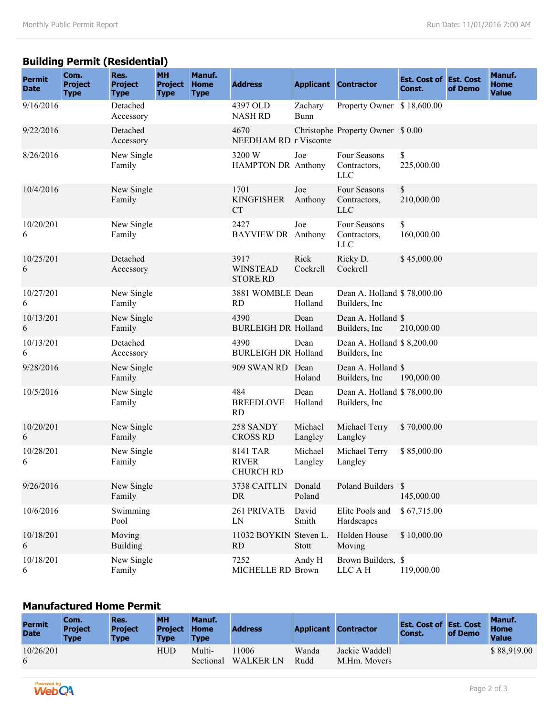# **Building Permit (Residential)**

| <b>Permit</b><br><b>Date</b> | Com.<br><b>Project</b><br><b>Type</b> | Res.<br><b>Project</b><br><b>Type</b> | <b>MH</b><br><b>Project</b><br><b>Type</b> | Manuf.<br><b>Home</b><br><b>Type</b> | <b>Address</b>                               |                        | <b>Applicant Contractor</b>                   | <b>Est. Cost of Est. Cost</b><br>Const. | of Demo | Manuf.<br><b>Home</b><br><b>Value</b> |
|------------------------------|---------------------------------------|---------------------------------------|--------------------------------------------|--------------------------------------|----------------------------------------------|------------------------|-----------------------------------------------|-----------------------------------------|---------|---------------------------------------|
| 9/16/2016                    |                                       | Detached<br>Accessory                 |                                            |                                      | 4397 OLD<br><b>NASH RD</b>                   | Zachary<br><b>Bunn</b> | Property Owner \$18,600.00                    |                                         |         |                                       |
| 9/22/2016                    |                                       | Detached<br>Accessory                 |                                            |                                      | 4670<br>NEEDHAM RD r Visconte                |                        | Christophe Property Owner \$0.00              |                                         |         |                                       |
| 8/26/2016                    |                                       | New Single<br>Family                  |                                            |                                      | 3200 W<br>HAMPTON DR Anthony                 | Joe                    | Four Seasons<br>Contractors,<br><b>LLC</b>    | \$<br>225,000.00                        |         |                                       |
| 10/4/2016                    |                                       | New Single<br>Family                  |                                            |                                      | 1701<br><b>KINGFISHER</b><br><b>CT</b>       | Joe<br>Anthony         | Four Seasons<br>Contractors,<br><b>LLC</b>    | \$<br>210,000.00                        |         |                                       |
| 10/20/201<br>6               |                                       | New Single<br>Family                  |                                            |                                      | 2427<br><b>BAYVIEW DR</b> Anthony            | Joe                    | Four Seasons<br>Contractors,<br><b>LLC</b>    | \$<br>160,000.00                        |         |                                       |
| 10/25/201<br>6               |                                       | Detached<br>Accessory                 |                                            |                                      | 3917<br><b>WINSTEAD</b><br><b>STORE RD</b>   | Rick<br>Cockrell       | Ricky D.<br>Cockrell                          | \$45,000.00                             |         |                                       |
| 10/27/201<br>6               |                                       | New Single<br>Family                  |                                            |                                      | 3881 WOMBLE Dean<br><b>RD</b>                | Holland                | Dean A. Holland \$78,000.00<br>Builders, Inc  |                                         |         |                                       |
| 10/13/201<br>6               |                                       | New Single<br>Family                  |                                            |                                      | 4390<br><b>BURLEIGH DR Holland</b>           | Dean                   | Dean A. Holland \$<br>Builders, Inc.          | 210,000.00                              |         |                                       |
| 10/13/201<br>6               |                                       | Detached<br>Accessory                 |                                            |                                      | 4390<br><b>BURLEIGH DR Holland</b>           | Dean                   | Dean A. Holland \$ 8,200.00<br>Builders, Inc. |                                         |         |                                       |
| 9/28/2016                    |                                       | New Single<br>Family                  |                                            |                                      | 909 SWAN RD Dean                             | Holand                 | Dean A. Holland \$<br>Builders, Inc.          | 190,000.00                              |         |                                       |
| 10/5/2016                    |                                       | New Single<br>Family                  |                                            |                                      | 484<br><b>BREEDLOVE</b><br><b>RD</b>         | Dean<br>Holland        | Dean A. Holland \$78,000.00<br>Builders, Inc. |                                         |         |                                       |
| 10/20/201<br>6               |                                       | New Single<br>Family                  |                                            |                                      | 258 SANDY<br><b>CROSS RD</b>                 | Michael<br>Langley     | Michael Terry<br>Langley                      | \$70,000.00                             |         |                                       |
| 10/28/201<br>6               |                                       | New Single<br>Family                  |                                            |                                      | <b>8141 TAR</b><br><b>RIVER</b><br>CHURCH RD | Michael<br>Langley     | Michael Terry<br>Langley                      | \$85,000.00                             |         |                                       |
| 9/26/2016                    |                                       | New Single<br>Family                  |                                            |                                      | 3738 CAITLIN Donald<br>DR                    | Poland                 | Poland Builders \$                            | 145,000.00                              |         |                                       |
| 10/6/2016                    |                                       | Swimming<br>Pool                      |                                            |                                      | 261 PRIVATE<br>LN                            | David<br>Smith         | Elite Pools and<br>Hardscapes                 | \$67,715.00                             |         |                                       |
| 10/18/201<br>6               |                                       | Moving<br><b>Building</b>             |                                            |                                      | 11032 BOYKIN<br>RD                           | Steven L.<br>Stott     | Holden House<br>Moving                        | \$10,000.00                             |         |                                       |
| 10/18/201<br>6               |                                       | New Single<br>Family                  |                                            |                                      | 7252<br>MICHELLE RD Brown                    | Andy H                 | Brown Builders, \$<br>LLC A H                 | 119,000.00                              |         |                                       |

### **Manufactured Home Permit**

| <b>Permit</b><br><b>Date</b> | Com.<br><b>Project</b><br><b>Type</b> | Res.<br><b>Project</b><br><b>Type</b> | <b>MH</b><br><b>Project</b><br><b>Type</b> | Manuf.<br><b>Home</b><br><b>Type</b> | <b>Address</b>           |               | <b>Applicant Contractor</b>    | <b>Est. Cost of Est. Cost</b><br><b>Const.</b> | of Demo | Manuf.<br><b>Home</b><br><b>Value</b> |
|------------------------------|---------------------------------------|---------------------------------------|--------------------------------------------|--------------------------------------|--------------------------|---------------|--------------------------------|------------------------------------------------|---------|---------------------------------------|
| 10/26/201<br>6               |                                       |                                       | HUD                                        | Multi-<br>Sectional                  | 1006<br><b>WALKER LN</b> | Wanda<br>Rudd | Jackie Waddell<br>M.Hm. Movers |                                                |         | \$88,919.00                           |